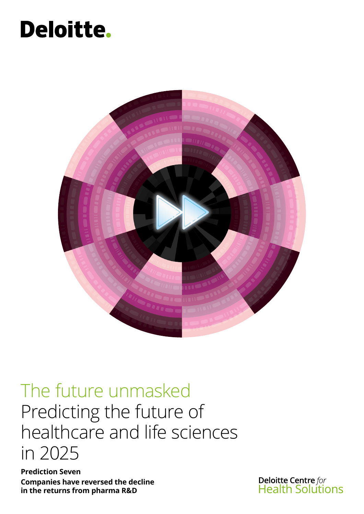# **Deloitte.**



# The future unmasked Predicting the future of healthcare and life sciences in 2025

**Prediction Seven Companies have reversed the decline in the returns from pharma R&D**

**Deloitte Centre** for<br>Health Solutions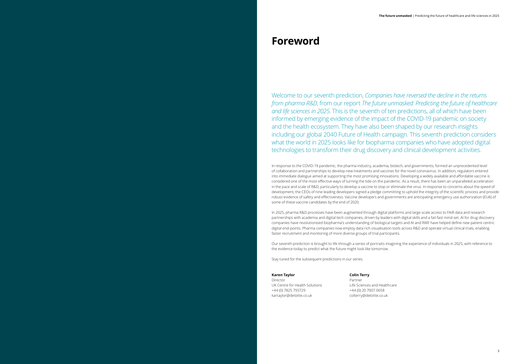Welcome to our seventh prediction, *Companies have reversed the decline in the returns from pharma R&D*, from our report *The future unmasked: Predicting the future of healthcare and life sciences in 2025*. This is the seventh of ten predictions, all of which have been informed by emerging evidence of the impact of the COVID-19 pandemic on society and the health ecosystem. They have also been shaped by our research insights including our [global 2040 Future of Health campaign.](https://www2.deloitte.com/us/en/pages/life-sciences-and-health-care/articles/future-of-health.html) This seventh prediction considers what the world in 2025 looks like for biopharma companies who have adopted digital technologies to transform their drug discovery and clinical development activities.

In response to the COVID-19 pandemic, the pharma industry, academia, biotech, and governments, formed an unprecedented level of collaboration and partnerships to develop new treatments and vaccines for the novel coronavirus. In addition, regulators entered into immediate dialogue aimed at supporting the most promising innovations. Developing a widely available and affordable vaccine is considered one of the most effective ways of turning the tide on the pandemic. As a result, there has been an unparalleled acceleration in the pace and scale of R&D, particularly to develop a vaccine to stop or eliminate the virus. In response to concerns about the speed of development, the CEOs of nine leading developers signed a pledge committing to uphold the integrity of the scientific process and provide robust evidence of safety and effectiveness. Vaccine developers and governments are anticipating emergency use authorization (EUA) of some of these vaccine candidates by the end of 2020.

In 2025, pharma R&D processes have been augmented through digital platforms and large-scale access to FAIR data and research partnerships with academia and digital tech companies, driven by leaders with digital skills and a fail-fast mind-set. AI for drug discovery companies have revolutionised biopharma's understanding of biological targets and AI and RWE have helped define new patient-centric digital end-points. Pharma companies now employ data rich visualisation tools across R&D and operate virtual clinical trials, enabling faster recruitment and monitoring of more diverse groups of trial participants.

Our seventh prediction is brought to life through a series of portraits imagining the experience of individuals in 2025, with reference to the evidence today to predict what the future might look like tomorrow.

Stay tuned for the subsequent predictions in our series.

## **Karen Taylor**

Director UK Centre for Health Solutions +44 (0) 7825 793729 kartaylor@deloitte.co.uk

**Colin Terry**

Partner Life Sciences and Healthcare +44 (0) 20 7007 0658 colterry@deloitte.co.uk

# **Foreword**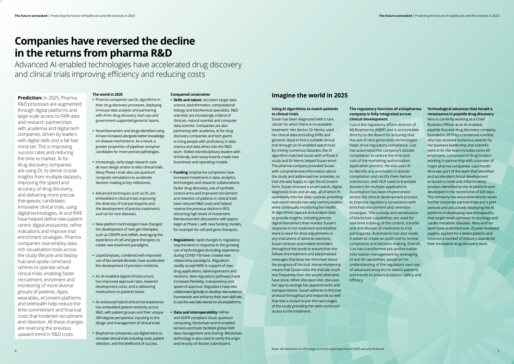# **Companies have reversed the decline in the returns from pharma R&D**

Advanced AI-enabled technologies have accelerated drug discovery and clinical trials improving efficiency and reducing costs

# **Prediction:** In 2025, Pharma

R&D processes are augmented through digital platforms and large-scale access to FAIR data and research partnerships with academia and digital tech companies, driven by leaders with digital skills and a fail-fast mind-set. This is improving success rates and reducing the time to market. AI for drug discovery companies are using DL to derive crucial insights from multiple datasets, improving the speed and accuracy of drug discovery, and delivering more precise therapeutic candidates. Innovative clinical trials, using digital technologies, AI and RWE have helped define new patientcentric digital end-points, refine indications and improve trial enrichment strategies. Pharma companies now employ datarich visualisation tools across the study lifecycle and deploy hub-and-spoke command centres to operate virtual clinical trials, enabling faster recruitment, enrolment and monitoring of more diverse groups of patients. Apps, wearables, eConsent platforms and telehealth help reduce the time commitment and financial costs that hindered recruitment and retention. All these changes are reversing the previous upward trend in R&D costs.

# **Imagine the world in 2025**

# **Using AI algorithms to match patients to clinical trials**

Susan has been diagnosed with a rare cancer for which there is no available treatment. Her doctor, Dr Nemo, used her clinical data (including EHRs and genomic data) to find a suitable clinical trial through an AI-enabled search tool. By mining numerous datasets, the AI algorithm matched Susan with a Phase II study and Dr Nemo helped Susan enrol. The pharma company provided Susan with comprehensive information about the study and addressed her anxieties, so that she was happy to sign the eConsent form. Susan received a smart watch, digital diagnostic tools and an app, all of which fit seamlessly into her daily routines providing real-world remote two-way communication while continually monitoring her health. AI algorithms capture and analyse data to provide insights, including precise digital biomarkers that monitor Susan's response to her treatment and whether there is need for dose adjustments or any indications of adverse reactions. Susan receives automated reminders throughout the study to ensure that she follows the treatment and personalised messages that keep her informed about the progress of the trial. Home monitoring means that Susan visits the trial site much less frequently than she would otherwise have done. When she does visit, she uses her app to arrange her appointments and transportations. Susan adheres to the trial protocol throughout and responds so well that she is invited to join the next stages of the study providing her with continued access to the treatment.

**The regulatory function of a biopharma company is fully integrated across clinical development**  Luis is the regulatory affairs director of MJ Biopharma (MJBP) and is accountable directly to the Board for ensuring that the use of next generation technologies helps drive regulatory compliance. Luis has automated the company's dossier compilation to reduce the time and cost of the marketing authorisation application process. He also uses AI to identify any anomalies in dossier compilation and rectify them before submission, with NLP used to translate dossiers for multiple applications. Automation has been implemented across the clinical development process to improve regulatory compliance with enriched recruitment and retention strategies. The custody and serialisation of blockchain capabilities are used for real-time tracking of the control, transfer and distribution of medicines to trial participants. Automation has also made it easier to create an audit trail to review compliance and decision-making. Overall, Luis has transformed pre-authorisation information management by leveraging AI and BI capabilities, based on his understanding of the regulators own use of advanced analytics to detect patterns and trends to ensure products' safety and efficacy.

**Technological advances that herald a renaissance in peptide drug discovery**

Nina is currently working as a Chief Business Officer at an AI-enabled, peptide-focused drug discovery company founded in 2019 by a renowned scientist who has received numerous awards for her business leadership and scientific work in AI. Her team includes some 60 employees, composed of 'drug hunters' working in partnership with a number of major pharma companies. Last month Nina was part of the team that identified and accelerated clinical development to launch a novel anti-inflammatory product identified by the AI platform and developed in the record time of 420 days. The company has since entered into seven further corporate partnerships and a joint venture and are actively deploying the AI platform in developing new therapeutics that target novel pathways in oncology and cardio-metabolic diseases. Nina and her team have published over 20 peer-reviewed papers, applied for a dozen patents and received a number of industry awards for their innovative drug discovery work.

# **The world in 2025**

- **•** Pharma companies use DL algorithms in their drug discovery processes, deploying in-house data analysts and partnering with AI for drug discovery start-ups and government-supported genomic teams.
- **•** Novel biomarkers and drugs identified using AI have increased alongside better knowledge on disease mechanisms. As a result, a greater proportion of pipelines comprise candidates for more precise pathologies.
- **•** Increasingly, early-stage research uses *de novo* design and/*or in silico* clinical trials. Many Phase I trials also use quantum computer simulations to accelerate decision making at key milestones.
- **•** Advanced techniques such as DL are embedded in clinical trials improving the diversity of trial participants and the development of precise treatments, such as for rare diseases.
- **•** New platform technologies have changed the development of next gen therapies, such as CRISPR and mRNA, leveraging the experience of cell and gene therapies, to create new treatment paradigms.
- **•** Liquid biopsies, combined with improved use of bio-sample libraries, have accelerated the development of precision medicine.
- **•** An AI-enabled digital infrastructure, has improved approval rates, lowered development costs, and is delivering medications to patients faster.
- **•** An enhanced hybrid clinical trial experience has embedded patient-centricity across R&D, with patient groups and their unique 360-degree perspective, inputting to the design and management of clinical trials.
- **•** Biopharma companies use digital twins to simulate clinical trials including costs, patient selection, and the likelihood of success.

# **Conquered constraints**

- **• Skills and talent:** recruiters target data science, bioinformatics, computational biology and biochemical specialists. R&D scientists are increasingly a blend of clinician, natural scientist and computer data scientist. Companies are also partnering with academia, AI for drug discovery companies and tech giants to bring people with proficiency in data science and data ethics into the R&D team. Skilled interdisciplinary leaders with AI-friendly, tech-savvy boards create new businesses and operating models.
- **• Funding:** biopharma companies have increased investment in data, analytics, technologies and research collaborations. Faster drug discovery, use of synthetic control arms and improved recruitment and retention of patients in clinical trials have reduced R&D costs and helped reverse the previous decline in ROI, attracting high levels of investment. Reimbursement discussions with payers begin at Phase I, with new funding models, for example for cell and gene therapies.
- **• Regulations:** rapid changes to regulatory requirements in response to the growing use of technologies (including experience during COVID-19) have created new relationship paradigms. Regulators readily accept RWE in support of new drug applications, label expansions and revisions. New regulatory pathways have increased flexibility, transparency and speed of approval. Regulators have also collaborated globally to develop new evidence frameworks and enhance their own skill-sets to use the vast data stored on cloud platforms.
- **• Data and interoperability:** HIPAA and GDPR compliant cloud, quantum computing, blockchain and AI-enabled services and tools facilitate global FAIR data management and sharing. Blockchain technology is also used to verify the origin and veracity of dossier submissions.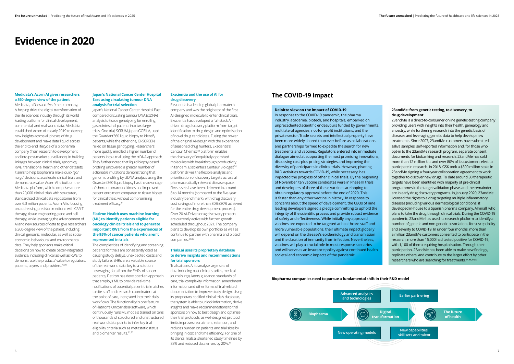# **Medidata's Acorn AI gives researchers a 360-degree view of the patient**

Medidata, a Dassault Systèmes company, is helping drive the digital transformation of the life sciences industry through its world leading platform for clinical development, commercial, and real-world data. Medidata established Acorn AI in early 2019 to develop new insights across all phases of drug development and make data 'liquid' across the end-to-end lifecycle of a biopharma company (from research to development and into post-market surveillance). In building linkages between clinical trials, genomics, RWE, translational health and other datasets, it aims to help biopharma make quick 'go/ no go' decisions, accelerate clinical trials and demonstrate value. Acorn AI is built on the Medidata platform, which comprises more than 20,000 clinical trials with structured, standardised clinical data repositories from over 6.3 million patients. Acorn AI is focusing on addressing precision medicine with CAR-T therapy, tissue engineering, gene and cell therapy, while leveraging the advancement of AI and new sources of data to give researchers a 360-degree view of the patient, including clinical, genomic, molecular, as well as socioeconomic, behavioural and environmental data. They help sponsors make critical decisions on how to create better-integrated evidence, including clinical as well as RWE to demonstrate the products' value to regulators, patients, payers and providers.79,80

The complexities of identifying and screening patients for trials are consistently cited as causing study delays, unexpected costs and study failure. EHRs are a valuable source of the real-world data key to a solution. Leveraging data from the EHRs of cancer patients, Flatiron has developed an approach that employs ML to provide real-time notifications of potential patient-trial matches to site staff and research coordinators at the point of care, integrated into their daily workflows. The functionality is one feature of Flatiron's OncoTrials® software, which continuously runs ML models trained on tens of thousands of structured and unstructured real-world data points to infer key trial eligibility criteria such as metastatic status and biomarker results.<sup>82,83</sup>

## **Japan's National Cancer Center Hospital East using circulating tumour DNA analysis for trial selection**

Exscientia is a leading global pharmatech company and was the originator of the first AI-designed molecule to enter clinical trials. Exscientia has developed a full-stack AIdriven drug discovery platform from target identification to drug design and optimisation of novel drug candidates. Fusing the power of the original AI-design with the experience of seasoned drug hunters, Exscientia's Centaur Chemist™ platform enables the discovery of exquisitely optimised molecules with breakthrough productivity. In tandem, Exscientia's Centaur Biologist™ platform drives the flexible analysis and prioritisation of discovery targets across all pharmaceutically relevant disease space. Five assets have been delivered in around 8 to 14 months (compared to the five-year industry benchmark), with drug discovery cost savings of more than 80% (30% achieved for the entire drug development process). Over 20 AI-Driven drug discovery projects are currently active with further growth scheduled throughout 2021. The company plans to develop its own portfolio as well as continue to partner with pharma and biotech companies. 84,85

Japan's National Cancer Center Hospital East compared circulating tumour DNA (ctDNA) analysis to tissue genotyping for enrolling gastrointestinal patients into two large trials. One trial, SCRUM-Japan GOZILA, used the Guardant360 liquid biopsy to identify patients, while the other one, GI-SCREEN, relied on tissue genotyping. Researchers more quickly enrolled a higher number of patients into a trial using the ctDNA approach. They further noted that liquid biopsy-based profiling uncovered a greater number of actionable mutations demonstrating that genomic profiling by ctDNA analysis using the Guardant360 liquid biopsy has the advantage of shorter turnaround times and improved patient enrolment compared to tissue biopsy for clinical trials, without compromising treatment efficacy.81

> Trials.ai uses AI to analyse large sets of data including past clinical studies, medical journals, regulatory guidance, standards of care, trial complexity information, amendment information and other forms of trial-related documentation to improve study design. Using its proprietary codified clinical trials database, the system is able to unlock information, derive insights and make recommendations to trial sponsors on how to best design and optimise their trial protocols, as well-designed protocol limits improves recruitment, retention, and reduces burden on patients and trial sites by bringing in cost and time efficiency. For one of its clients Trials.ai shortened study timelines by 33% and reduced data errors by 20%.<sup>86</sup>

# **Flatiron Health uses machine learning (ML) to identify patients eligible for oncology clinical trials and to generate important RWE from the experiences of the 95% of cancer patients who aren't represented in trials**

# **Exscientia and the use of AI for drug discovery**

23andMe is a direct-to-consumer online genetic-testing company providing users with insights into their health, genealogy and ancestry, while furthering research into the genetic basis of diseases and leveraging genetic data to help develop new treatments. Since 2007, 23andMe customers have submitted saliva samples, self-reported information and, for those who opt-in to the 23andMe research program, separate consent documents for biobanking and research. 23andMe has sold more than 12 million kits and over 80% of its customers elect to participate in research. In 2018, GSK took a \$300 million stake in 23andMe signing a four-year collaboration agreement to work together to discover new drugs. To date around 30 therapeutic targets have been identified with majority of pre-clinical programmes in the target validation phase, and the remainder are in early drug discovery programs. In January 2020, 23andMe licensed the rights to a drug targeting multiple inflammatory diseases (including various dermatological conditions) it developed in-house to a Spanish pharma company, Almirall, who plans to take the drug through clinical trials. During the COVID-19 pandemic, 23andMe has used its research platform to identify a number of genetic and non-genetic associations for susceptibility and severity to COVID-19. In under four months, more than a million 23andMe customers consented to participate in the research, more than 15,000 had tested positive for COVID-19, with 1,100 of them requiring hospitalisation. Through their participation, 23andMe has been able to make new findings, replicate others, and contribute to the larger effort by other researchers who are searching for treatments. 87, 88, 89,90

# **Trials.ai uses its proprietary database to derive insights and recommendations for trial sponsors**

# **Evidence in 2020**

## **Deloitte view on the impact of COVID‑19**

In response to the COVID-19 pandemic, the pharma industry, academia, biotech, and hospitals, embarked on unprecedented scientific endeavours funded by governments, multilateral agencies, not-for-profit institutions, and the private sector. Trade secrets and intellectual property have been more widely shared than ever before as collaborations and partnerships formed to expedite the search for new treatments and vaccines. Regulators entered into immediate dialogue aimed at supporting the most promising innovations, discussing cost-plus pricing strategies and improving the diversity of participants in clinical trials. However, pivoting R&D activities towards COVID-19, while necessary, has impacted the progress of other clinical trials. By the beginning of November, ten vaccine candidates were in Phase III trials and developers of three of these vaccines are hoping to obtain regulatory approval before the end of 2020. This is faster than any other vaccine in history. In response to concerns about the speed of development, the CEOs of nine leading developers signed a pledge committing to uphold the integrity of the scientific process and provide robust evidence of safety and effectiveness. While initially any approved vaccines are expected to be targeted at healthcare staff and more vulnerable populations, their ultimate impact globally will depend on the disease's epidemiology and transmission and the duration of immunity from infection. Nevertheless, vaccines will play a crucial role in most response scenarios and will serve as an insurance policy against continued health societal and economic impacts of the pandemic.

# **23andMe: from genetic testing, to discovery, to drug development**

# **The COVID‑19 impact**



**Biopharma companies need to pursue a fundamental shift in their R&D model**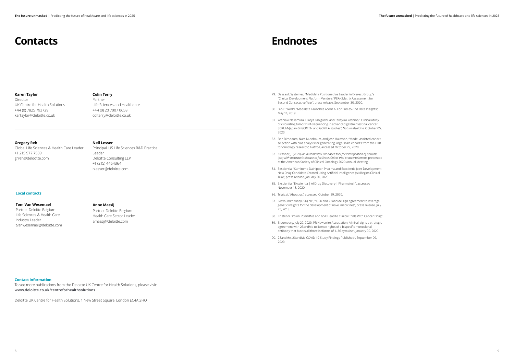- 79. Dassault Systemes, "Medidata Positioned as Leader in Everest Group's "Clinical Development Platform Vendors" PEAK Matrix Assessment for Second Consecutive Year", press release, September 30, 2020.
- 80. Bio-IT World, "Medidata Launches Acorn AI For End-to-End Data Insights", May 14, 2019.
- 81. Yoshiaki Nakamura, Hiroya Taniguchi, and Takayuki Yoshino," Clinical utility of circulating tumor DNA sequencing in advanced gastrointestinal cancer: SCRUM-Japan GI-SCREEN and GOZILA studies", *Nature Medicine*, October 05, 2020.
- 82. Ben Birnbaum, Nate Nussbaum, and Josh Haimson, "Model-assisted cohort selection with bias analysis for generating large-scale cohorts from the EHR for oncology research", *Flatiron*, accessed October 29, 2020.
- 83. Kirshner, J. (2020) *An automated EHR-based tool for identification of patients (pts) with metastatic disease to facilitate clinical trial pt ascertainment*, presented at the American Society of Clinical Oncology 2020 Annual Meeting
- 84. Exscientia, "Sumitomo Dainippon Pharma and Exscientia Joint Development New Drug Candidate Created Using Artificial Intelligence (AI) Begins Clinical Trial", press release, January 30, 2020.
- 85. Exscientia, "Exscientia | AI Drug Discovery | Pharmatech", accessed November 18, 2020.
- 86. Trials.ai, "About us", accessed October 29, 2020.
- 87. GlaxoSmithKline(GSK) plc., " GSK and 23andMe sign agreement to leverage genetic insights for the development of novel medicines", press release, July 25, 2018.
- 88. Kristen V Brown, 23andMe and GSK Head to Clinical Trials With Cancer Drug"
- 89. Bloomberg, July 29, 2020. PR Newswire Association, Almirall signs a strategic agreement with 23andMe to license rights of a bispecific monoclonal antibody that blocks all three isoforms of IL-36 cytokine", January 09, 2020.
- 90. 23andMe, 23andMe COVID-19 Study Findings Published", September 09, 2020.

## **Contact information**

To see more publications from the Deloitte UK Centre for Health Solutions, please visit: **www.deloitte.co.uk/centreforhealthsolutions**

Deloitte UK Centre for Health Solutions, 1 New Street Square, London EC4A 3HQ

### **Karen Taylor**

Director UK Centre for Health Solutions +44 (0) 7825 793729 kartaylor@deloitte.co.uk

### **Colin Terry**

Partner Life Sciences and Healthcare +44 (0) 20 7007 0658 colterry@deloitte.co.uk

# **Gregory Reh**

Global Life Sciences & Health Care Leader +1 215 977 7559 grreh@delootte.com

# **Neil Lesser** Principal, US Life Sciences R&D Practice Leader Deloitte Consulting LLP +1 (215) 4464364 nlesser@deloitte.com

# **Contacts Endnotes**

## **Local contacts**

## **Tom Van Wesemael**

Partner Deloitte Belgium Life Sciences & Health Care Industry Leader tvanwesemael@deloitte.com

# **Anne Massij**

Partner Deloitte Belgium Health Care Sector Leader amassij@deloitte.com